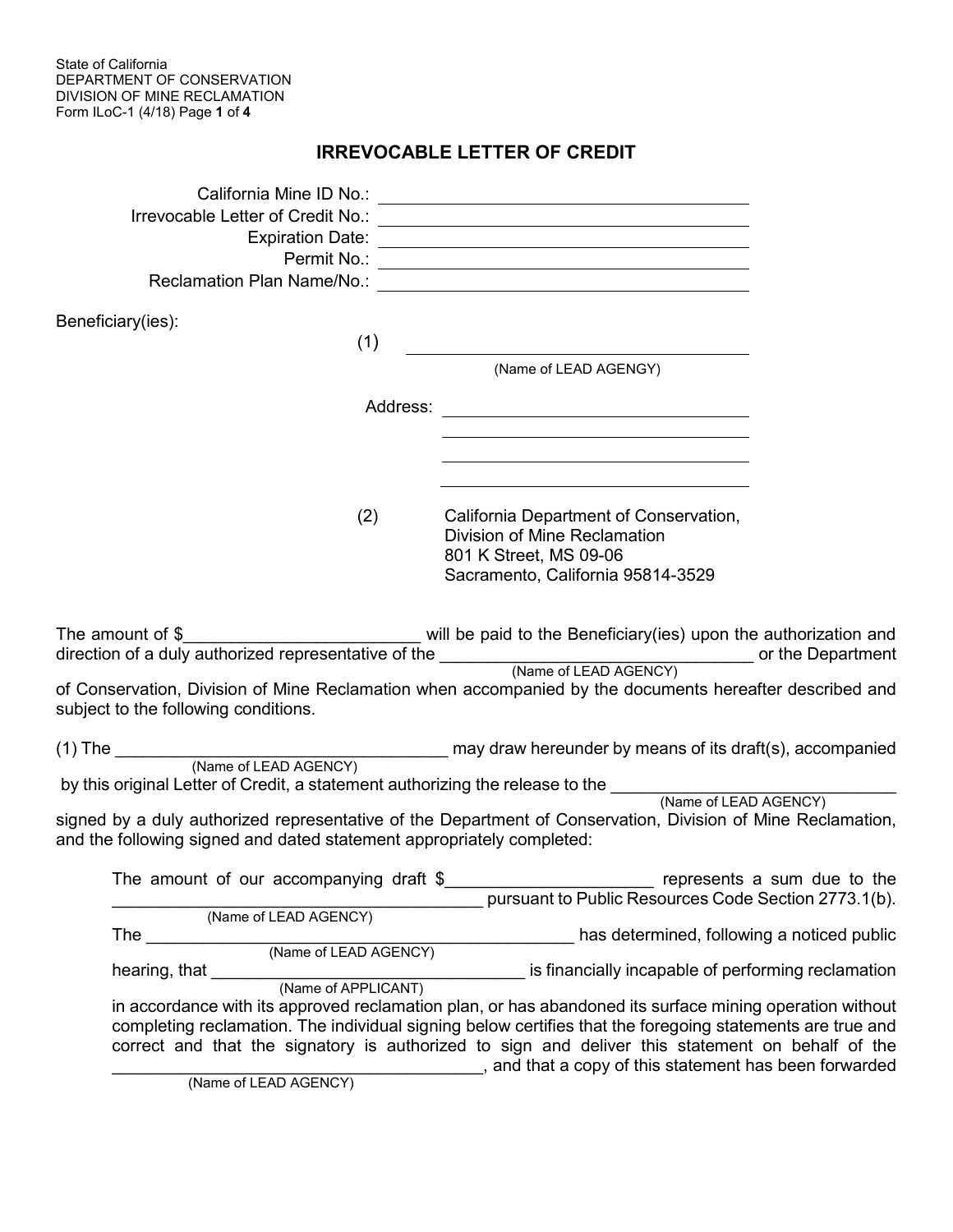State of California DEPARTMENT OF CONSERVATION DIVISION OF MINE RECLAMATION Form ILoC-1 (4/18) Page **1** of **4**

## **IRREVOCABLE LETTER OF CREDIT**

| Irrevocable Letter of Credit No.:                                     |                                                                                                                                                                                                                                                                                                                                                                                    |
|-----------------------------------------------------------------------|------------------------------------------------------------------------------------------------------------------------------------------------------------------------------------------------------------------------------------------------------------------------------------------------------------------------------------------------------------------------------------|
|                                                                       |                                                                                                                                                                                                                                                                                                                                                                                    |
| Beneficiary(ies):<br>(1)                                              |                                                                                                                                                                                                                                                                                                                                                                                    |
|                                                                       | (Name of LEAD AGENGY)                                                                                                                                                                                                                                                                                                                                                              |
| Address:                                                              | <u> 1989 - Johann Barn, amerikansk politiker (d. 1989)</u>                                                                                                                                                                                                                                                                                                                         |
| (2)                                                                   | California Department of Conservation,<br>Division of Mine Reclamation<br>801 K Street, MS 09-06<br>Sacramento, California 95814-3529                                                                                                                                                                                                                                              |
| subject to the following conditions.                                  | The amount of $\frac{1}{2}$ amount of $\frac{1}{2}$ and the paid to the Beneficiary(ies) upon the authorization and<br>of Conservation, Division of Mine Reclamation when accompanied by the documents hereafter described and                                                                                                                                                     |
|                                                                       |                                                                                                                                                                                                                                                                                                                                                                                    |
| and the following signed and dated statement appropriately completed: | signed by a duly authorized representative of the Department of Conservation, Division of Mine Reclamation,                                                                                                                                                                                                                                                                        |
| The amount of our accompanying draft $$$                              | represents a sum due to the<br>pursuant to Public Resources Code Section 2773.1(b).                                                                                                                                                                                                                                                                                                |
| (Name of LEAD AGENCY)<br>The                                          | has determined, following a noticed public                                                                                                                                                                                                                                                                                                                                         |
| (Name of LEAD AGENCY)<br>hearing, that<br>(Name of APPLICANT)         | is financially incapable of performing reclamation                                                                                                                                                                                                                                                                                                                                 |
| (Name of LEAD AGENCY)                                                 | in accordance with its approved reclamation plan, or has abandoned its surface mining operation without<br>completing reclamation. The individual signing below certifies that the foregoing statements are true and<br>correct and that the signatory is authorized to sign and deliver this statement on behalf of the<br>s and that a copy of this statement has been forwarded |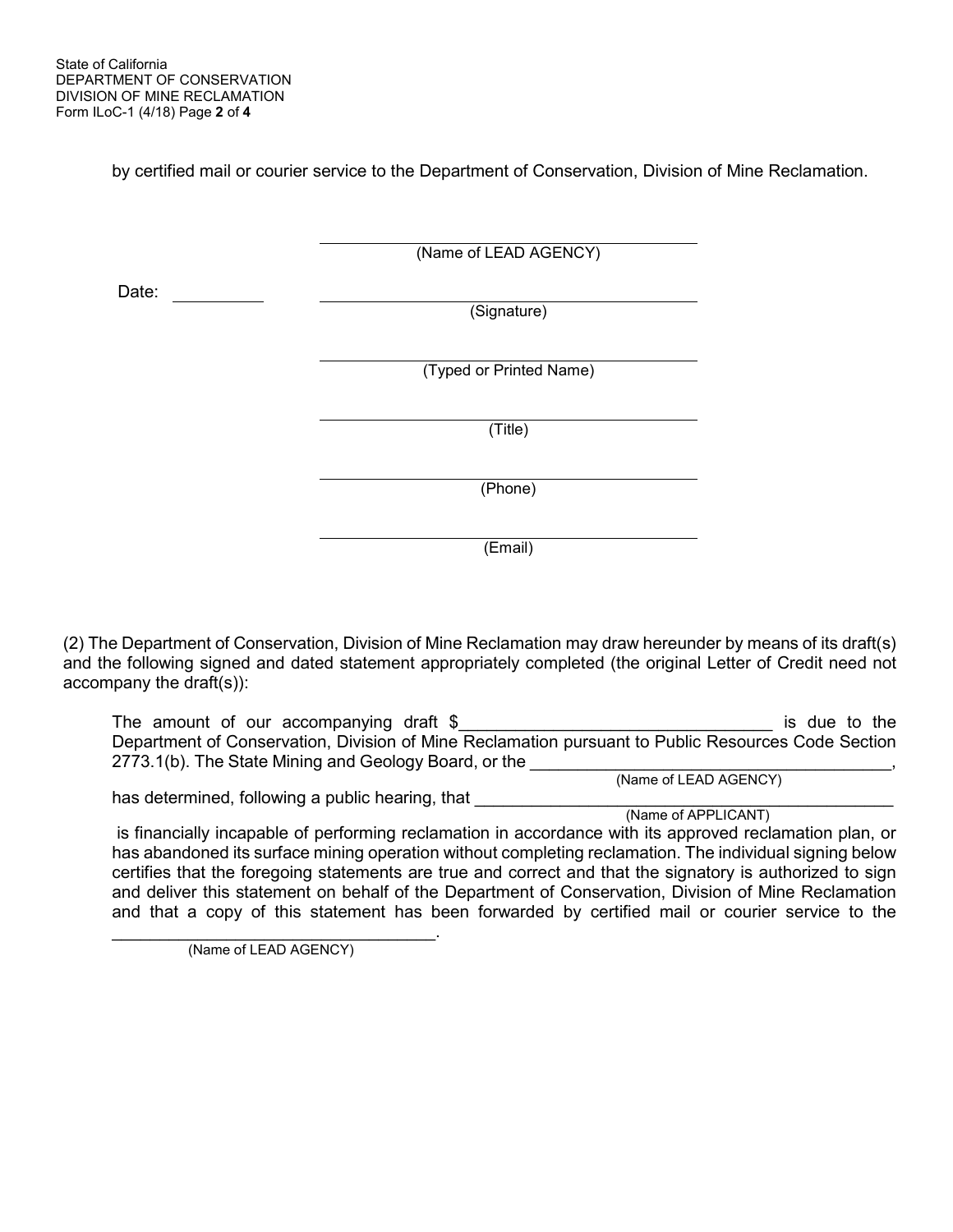by certified mail or courier service to the Department of Conservation, Division of Mine Reclamation.

|       | (Name of LEAD AGENCY)   |  |
|-------|-------------------------|--|
| Date: | (Signature)             |  |
|       | (Typed or Printed Name) |  |
|       | (Title)                 |  |
|       | (Phone)                 |  |
|       |                         |  |

(2) The Department of Conservation, Division of Mine Reclamation may draw hereunder by means of its draft(s) and the following signed and dated statement appropriately completed (the original Letter of Credit need not accompany the draft(s)):

The amount of our accompanying draft \$\_\_\_\_\_\_\_\_\_\_\_\_\_\_\_\_\_\_\_\_\_\_\_\_\_\_\_\_\_\_\_\_\_ is due to the Department of Conservation, Division of Mine Reclamation pursuant to Public Resources Code Section 2773.1(b). The State Mining and Geology Board, or the \_\_\_\_\_\_\_\_\_\_\_\_\_\_\_\_\_\_\_\_\_\_\_\_\_\_\_<br>(Name of LEAD AGENCY)

(Email)

has determined, following a public hearing, that \_\_\_\_\_\_\_\_\_\_\_\_\_\_\_\_\_\_\_\_\_\_\_\_\_\_\_\_\_\_\_<br>(Name of APPLICANT)

is financially incapable of performing reclamation in accordance with its approved reclamation plan, or has abandoned its surface mining operation without completing reclamation. The individual signing below certifies that the foregoing statements are true and correct and that the signatory is authorized to sign and deliver this statement on behalf of the Department of Conservation, Division of Mine Reclamation and that a copy of this statement has been forwarded by certified mail or courier service to the

(Name of LEAD AGENCY)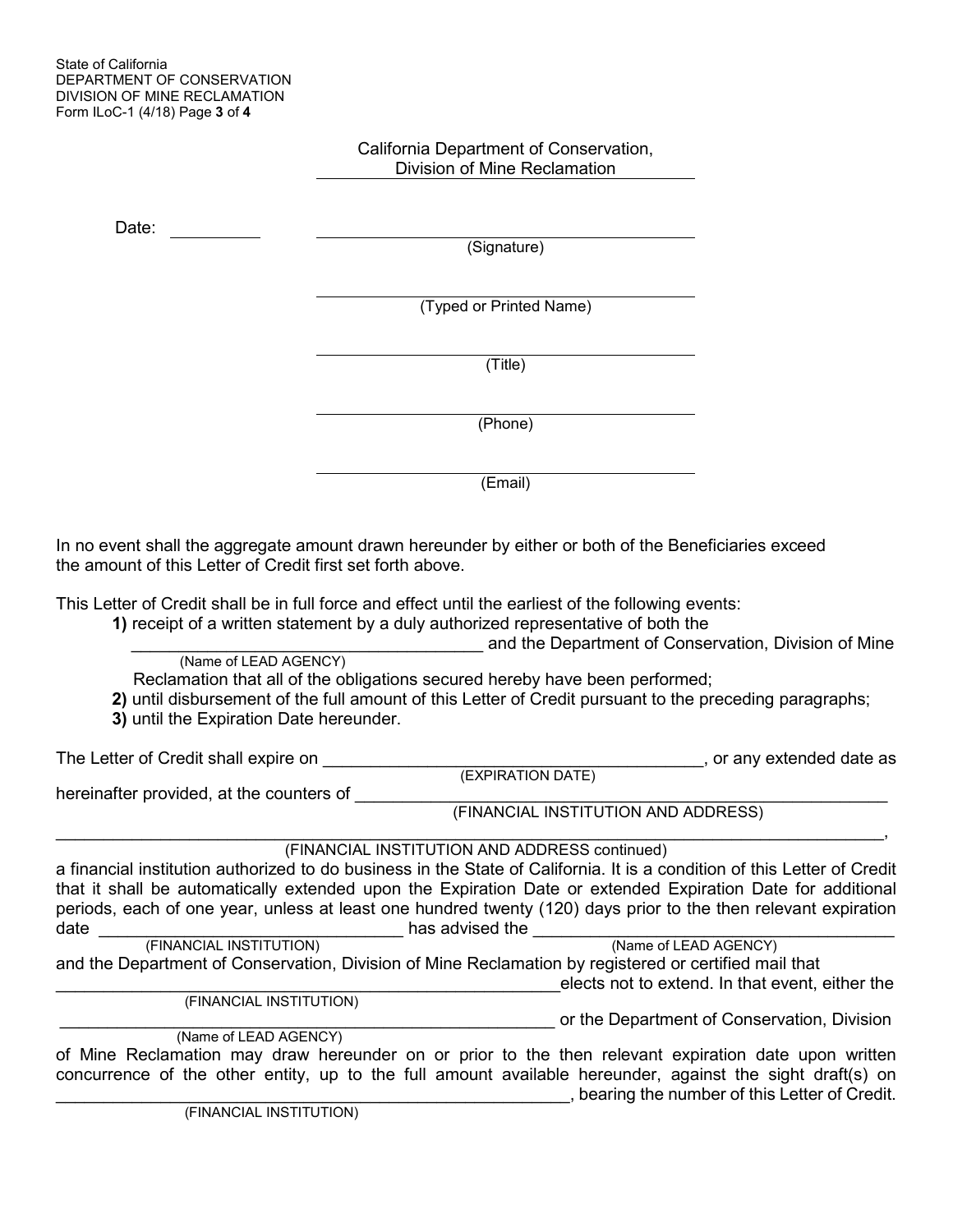## California Department of Conservation, Division of Mine Reclamation Date: (Signature) (Typed or Printed Name) (Title) (Phone) (Email)

In no event shall the aggregate amount drawn hereunder by either or both of the Beneficiaries exceed the amount of this Letter of Credit first set forth above.

This Letter of Credit shall be in full force and effect until the earliest of the following events:

**1)** receipt of a written statement by a duly authorized representative of both the

(Name of LEAD AGENCY) **Example 2** and the Department of Conservation, Division of Mine (Name of LEAD AGENCY)

Reclamation that all of the obligations secured hereby have been performed;

**2)** until disbursement of the full amount of this Letter of Credit pursuant to the preceding paragraphs;

**3)** until the Expiration Date hereunder.

The Letter of Credit shall expire on \_\_\_\_\_\_\_\_\_\_\_\_\_\_\_\_\_\_\_\_\_\_\_\_\_\_\_\_\_\_\_\_\_\_\_\_\_\_\_\_, or any extended date as (EXPIRATION DATE) hereinafter provided, at the counters of \_\_\_\_\_\_\_\_\_\_\_\_\_\_\_\_\_\_\_\_\_\_\_\_\_\_\_\_\_\_\_\_\_\_\_\_\_\_\_\_\_\_\_\_\_\_\_\_\_\_\_\_\_\_\_\_

(FINANCIAL INSTITUTION AND ADDRESS)

 $\mathcal{L}_\mathcal{L} = \{ \mathcal{L}_\mathcal{L} = \{ \mathcal{L}_\mathcal{L} = \{ \mathcal{L}_\mathcal{L} = \{ \mathcal{L}_\mathcal{L} = \{ \mathcal{L}_\mathcal{L} = \{ \mathcal{L}_\mathcal{L} = \{ \mathcal{L}_\mathcal{L} = \{ \mathcal{L}_\mathcal{L} = \{ \mathcal{L}_\mathcal{L} = \{ \mathcal{L}_\mathcal{L} = \{ \mathcal{L}_\mathcal{L} = \{ \mathcal{L}_\mathcal{L} = \{ \mathcal{L}_\mathcal{L} = \{ \mathcal{L}_\mathcal{$ (FINANCIAL INSTITUTION AND ADDRESS continued)

a financial institution authorized to do business in the State of California. It is a condition of this Letter of Credit that it shall be automatically extended upon the Expiration Date or extended Expiration Date for additional periods, each of one year, unless at least one hundred twenty (120) days prior to the then relevant expiration date \_\_\_\_\_\_\_\_\_\_\_\_\_\_\_\_\_\_\_\_\_\_\_\_\_\_\_\_\_\_\_\_ has advised the \_\_\_\_\_\_\_\_\_\_\_\_\_\_\_\_\_\_\_\_\_\_\_\_\_\_\_\_\_\_\_\_\_\_\_\_\_\_ (FINANCIAL INSTITUTION) (Name of LEAD AGENCY)

and the Department of Conservation, Division of Mine Reclamation by registered or certified mail that elects not to extend. In that event, either the

(FINANCIAL INSTITUTION)

or the Department of Conservation, Division

 (Name of LEAD AGENCY) of Mine Reclamation may draw hereunder on or prior to the then relevant expiration date upon written concurrence of the other entity, up to the full amount available hereunder, against the sight draft(s) on \_\_\_\_\_\_\_\_\_\_\_\_\_\_\_\_\_\_\_\_\_\_\_\_\_\_\_\_\_\_\_\_\_\_\_\_\_\_\_\_\_\_\_\_\_\_\_\_\_\_\_\_\_\_, bearing the number of this Letter of Credit. (FINANCIAL INSTITUTION)